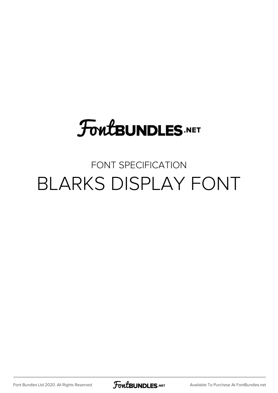# **FoutBUNDLES.NET**

#### FONT SPECIFICATION BLARKS DISPLAY FONT

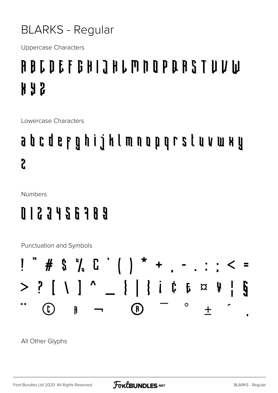#### **BLARKS - Regular**

**Uppercase Characters** 

### A B C D E F G H I J H L M N O P Q R S T U V W **H A S**

Lowercase Characters

## a b c d e r g h i j k l m n o p q r s l u v w x y  $\overline{\mathbf{c}}$

**Numbers** 

#### 0 1 2 3 4 5 6 7 8 9

Punctuation and Symbols



All Other Glyphs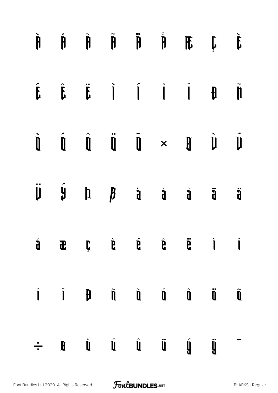| $\dot{\mathbf{h}}$ |  |  | $\hat{\mathfrak{h}} \quad \hat{\mathfrak{h}} \quad \hat{\mathfrak{h}} \quad \hat{\mathfrak{h}} \quad \hat{\mathfrak{h}} \quad \hat{\mathfrak{h}} \quad \hat{\mathfrak{h}} \quad \hat{\mathfrak{h}}$                                                                                                                                                                                                                                                                                                                                                |                     |
|--------------------|--|--|----------------------------------------------------------------------------------------------------------------------------------------------------------------------------------------------------------------------------------------------------------------------------------------------------------------------------------------------------------------------------------------------------------------------------------------------------------------------------------------------------------------------------------------------------|---------------------|
|                    |  |  | $\begin{array}{ccccccccccccccccc} \hat{f} & \hat{f} & \hat{f} & \hat{f} & \hat{f} & \hat{f} & \hat{f} & \hat{f} & \hat{f} & \hat{f} & \hat{f} & \hat{f} & \hat{f} & \hat{f} & \hat{f} & \hat{f} & \hat{f} & \hat{f} & \hat{f} & \hat{f} & \hat{f} & \hat{f} & \hat{f} & \hat{f} & \hat{f} & \hat{f} & \hat{f} & \hat{f} & \hat{f} & \hat{f} & \hat{f} & \hat{f} & \hat{f} & \hat{f} & \hat{f}$                                                                                                                                                     |                     |
|                    |  |  | $\begin{array}{ccccccccccccccccc} \hat{\mathbf{l}} & \hat{\mathbf{l}} & \hat{\mathbf{l}} & \hat{\mathbf{l}} & \hat{\mathbf{l}} & \hat{\mathbf{l}} & \hat{\mathbf{l}} & \hat{\mathbf{l}} & \hat{\mathbf{l}} & \hat{\mathbf{l}} & \hat{\mathbf{l}} & \hat{\mathbf{l}} & \hat{\mathbf{l}} & \hat{\mathbf{l}} & \hat{\mathbf{l}} & \hat{\mathbf{l}} & \hat{\mathbf{l}} & \hat{\mathbf{l}} & \hat{\mathbf{l}} & \hat{\mathbf{l}} & \hat{\mathbf{l}} & \hat{\mathbf{l}} & \hat{\mathbf{l}} & \hat{\mathbf{l}} & \hat{\mathbf{l}} & \hat{\mathbf{l}} & \$ |                     |
|                    |  |  |                                                                                                                                                                                                                                                                                                                                                                                                                                                                                                                                                    | $\ddot{\mathbf{j}}$ |
|                    |  |  |                                                                                                                                                                                                                                                                                                                                                                                                                                                                                                                                                    |                     |
|                    |  |  | $\begin{array}{ccccccccccccccccc} \hat{\textbf{I}} & \textbf{I} & \textbf{I} & \textbf{I} & \textbf{I} & \textbf{I} & \textbf{I} & \textbf{I} & \textbf{I} & \textbf{I} & \textbf{I} & \textbf{I} & \textbf{I} & \textbf{I} & \textbf{I} & \textbf{I} & \textbf{I} & \textbf{I} & \textbf{I} & \textbf{I} & \textbf{I} & \textbf{I} & \textbf{I} & \textbf{I} & \textbf{I} & \textbf{I} & \textbf{I} & \textbf{I} & \textbf{I} & \textbf{$                                                                                                         |                     |
| ÷.                 |  |  | $\begin{array}{ccccccccccccccccc} \mathbf{M} & \mathbf{U} & \mathbf{U} & \mathbf{U} & \mathbf{U} & \mathbf{U} & \mathbf{U} & \mathbf{U} & \mathbf{U} & \mathbf{U} & \mathbf{U} & \mathbf{U} & \mathbf{U} & \mathbf{U} & \mathbf{U} & \mathbf{U} & \mathbf{U} & \mathbf{U} & \mathbf{U} & \mathbf{U} & \mathbf{U} & \mathbf{U} & \mathbf{U} & \mathbf{U} & \mathbf{U} & \mathbf{U} & \mathbf{U} & \mathbf{U} & \mathbf{U} & \mathbf{U}$                                                                                                             |                     |